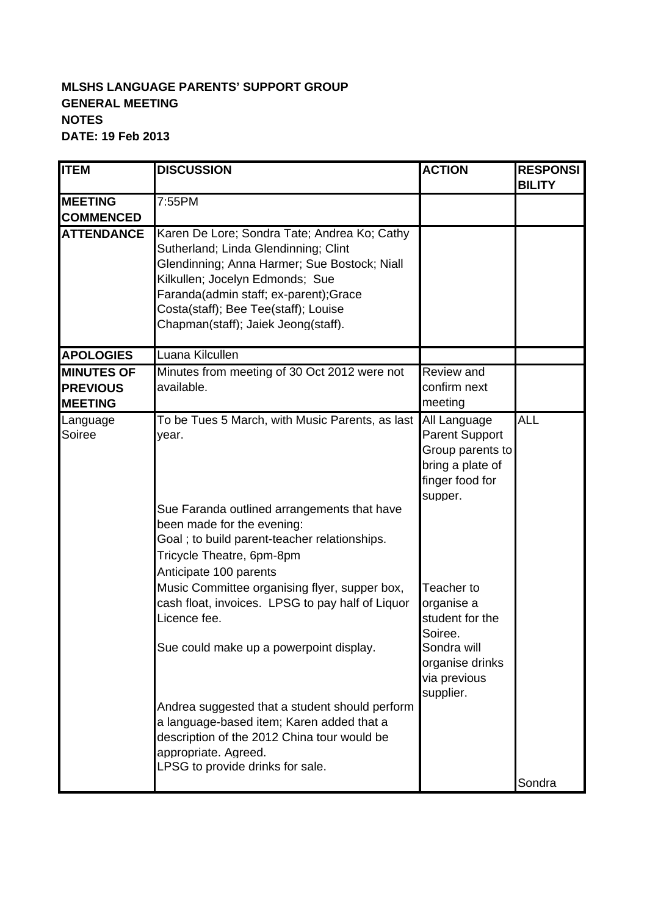## **MLSHS LANGUAGE PARENTS' SUPPORT GROUP GENERAL MEETING NOTES DATE: 19 Feb 2013**

| <b>ITEM</b>                                            | <b>DISCUSSION</b>                                                                                                                                                                                                                                                                                                                                                      | <b>ACTION</b>                                                                                                         | <b>RESPONSI</b><br><b>BILITY</b> |
|--------------------------------------------------------|------------------------------------------------------------------------------------------------------------------------------------------------------------------------------------------------------------------------------------------------------------------------------------------------------------------------------------------------------------------------|-----------------------------------------------------------------------------------------------------------------------|----------------------------------|
| <b>MEETING</b>                                         | 7:55PM                                                                                                                                                                                                                                                                                                                                                                 |                                                                                                                       |                                  |
| <b>COMMENCED</b>                                       |                                                                                                                                                                                                                                                                                                                                                                        |                                                                                                                       |                                  |
| <b>ATTENDANCE</b>                                      | Karen De Lore; Sondra Tate; Andrea Ko; Cathy<br>Sutherland; Linda Glendinning; Clint<br>Glendinning; Anna Harmer; Sue Bostock; Niall<br>Kilkullen; Jocelyn Edmonds; Sue<br>Faranda(admin staff; ex-parent);Grace<br>Costa(staff); Bee Tee(staff); Louise<br>Chapman(staff); Jaiek Jeong(staff).                                                                        |                                                                                                                       |                                  |
| <b>APOLOGIES</b>                                       | Luana Kilcullen                                                                                                                                                                                                                                                                                                                                                        |                                                                                                                       |                                  |
| <b>MINUTES OF</b><br><b>PREVIOUS</b><br><b>MEETING</b> | Minutes from meeting of 30 Oct 2012 were not<br>available.                                                                                                                                                                                                                                                                                                             | Review and<br>confirm next<br>meeting                                                                                 |                                  |
| Language<br>Soiree                                     | To be Tues 5 March, with Music Parents, as last<br>year.<br>Sue Faranda outlined arrangements that have<br>been made for the evening:<br>Goal; to build parent-teacher relationships.<br>Tricycle Theatre, 6pm-8pm<br>Anticipate 100 parents                                                                                                                           | All Language<br><b>Parent Support</b><br>Group parents to<br>bring a plate of<br>finger food for<br>supper.           | ĀLL                              |
|                                                        | Music Committee organising flyer, supper box,<br>cash float, invoices. LPSG to pay half of Liquor<br>Licence fee.<br>Sue could make up a powerpoint display.<br>Andrea suggested that a student should perform<br>a language-based item; Karen added that a<br>description of the 2012 China tour would be<br>appropriate. Agreed.<br>LPSG to provide drinks for sale. | Teacher to<br>organise a<br>student for the<br>Soiree.<br>Sondra will<br>organise drinks<br>via previous<br>supplier. | Sondra                           |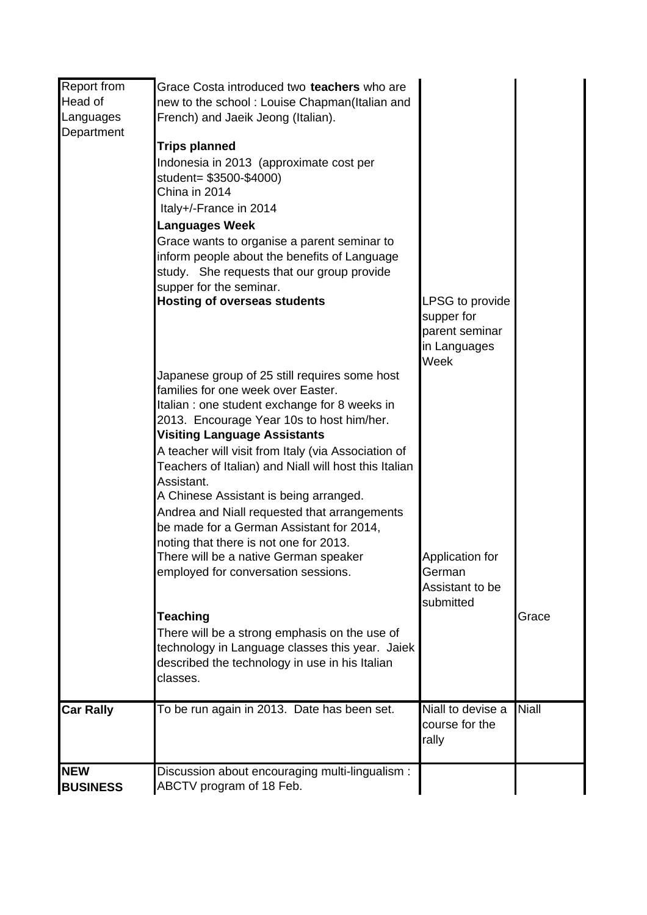| Report from<br>Head of        | Grace Costa introduced two teachers who are<br>new to the school: Louise Chapman(Italian and                                                                                                                                                                                                                                                                                                                                                                                                                                           |                                                           |              |
|-------------------------------|----------------------------------------------------------------------------------------------------------------------------------------------------------------------------------------------------------------------------------------------------------------------------------------------------------------------------------------------------------------------------------------------------------------------------------------------------------------------------------------------------------------------------------------|-----------------------------------------------------------|--------------|
| Languages<br>Department       | French) and Jaeik Jeong (Italian).<br><b>Trips planned</b><br>Indonesia in 2013 (approximate cost per<br>student= \$3500-\$4000)<br>China in 2014<br>Italy+/-France in 2014<br><b>Languages Week</b><br>Grace wants to organise a parent seminar to<br>inform people about the benefits of Language<br>study. She requests that our group provide<br>supper for the seminar.<br><b>Hosting of overseas students</b>                                                                                                                    | LPSG to provide                                           |              |
|                               |                                                                                                                                                                                                                                                                                                                                                                                                                                                                                                                                        | supper for<br>parent seminar<br>in Languages<br>Week      |              |
|                               | Japanese group of 25 still requires some host<br>families for one week over Easter.<br>Italian : one student exchange for 8 weeks in<br>2013. Encourage Year 10s to host him/her.<br><b>Visiting Language Assistants</b><br>A teacher will visit from Italy (via Association of<br>Teachers of Italian) and Niall will host this Italian<br>Assistant.<br>A Chinese Assistant is being arranged.<br>Andrea and Niall requested that arrangements<br>be made for a German Assistant for 2014,<br>noting that there is not one for 2013. |                                                           |              |
|                               | There will be a native German speaker<br>employed for conversation sessions.                                                                                                                                                                                                                                                                                                                                                                                                                                                           | Application for<br>German<br>Assistant to be<br>submitted |              |
|                               | <b>Teaching</b><br>There will be a strong emphasis on the use of<br>technology in Language classes this year. Jaiek<br>described the technology in use in his Italian<br>classes.                                                                                                                                                                                                                                                                                                                                                      |                                                           | Grace        |
| <b>Car Rally</b>              | To be run again in 2013. Date has been set.                                                                                                                                                                                                                                                                                                                                                                                                                                                                                            | Niall to devise a<br>course for the<br>rally              | <b>Niall</b> |
| <b>NEW</b><br><b>BUSINESS</b> | Discussion about encouraging multi-lingualism :<br>ABCTV program of 18 Feb.                                                                                                                                                                                                                                                                                                                                                                                                                                                            |                                                           |              |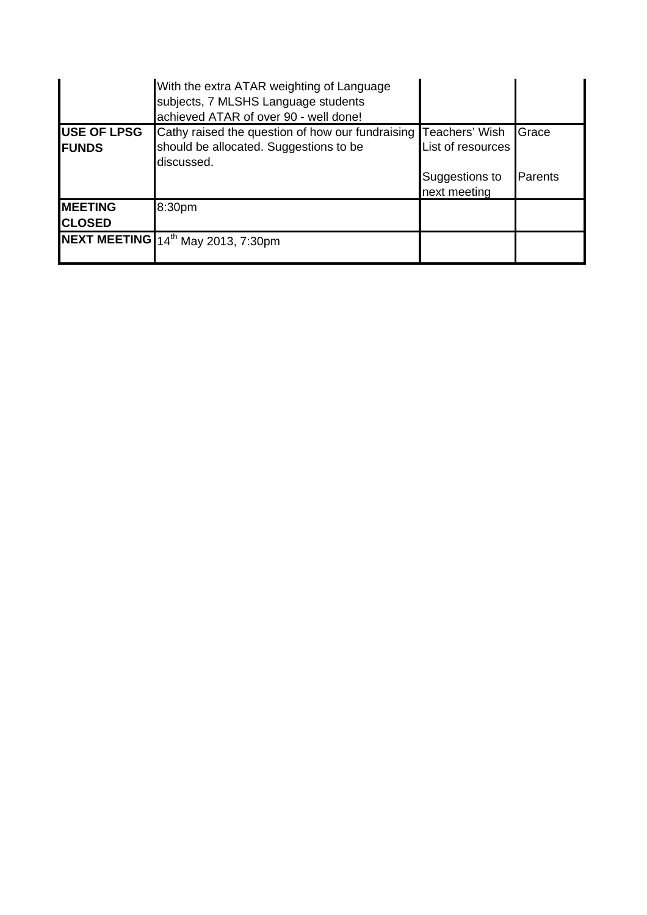|                                     | With the extra ATAR weighting of Language<br>subjects, 7 MLSHS Language students<br>achieved ATAR of over 90 - well done! |                                                     |                          |
|-------------------------------------|---------------------------------------------------------------------------------------------------------------------------|-----------------------------------------------------|--------------------------|
| <b>USE OF LPSG</b><br><b>IFUNDS</b> | Cathy raised the question of how our fundraising Teachers' Wish<br>should be allocated. Suggestions to be<br>discussed.   | List of resources<br>Suggestions to<br>next meeting | <b>Grace</b><br>IParents |
| <b>IMEETING</b><br><b>ICLOSED</b>   | 8:30pm                                                                                                                    |                                                     |                          |
|                                     | NEXT MEETING 14th May 2013, 7:30pm                                                                                        |                                                     |                          |